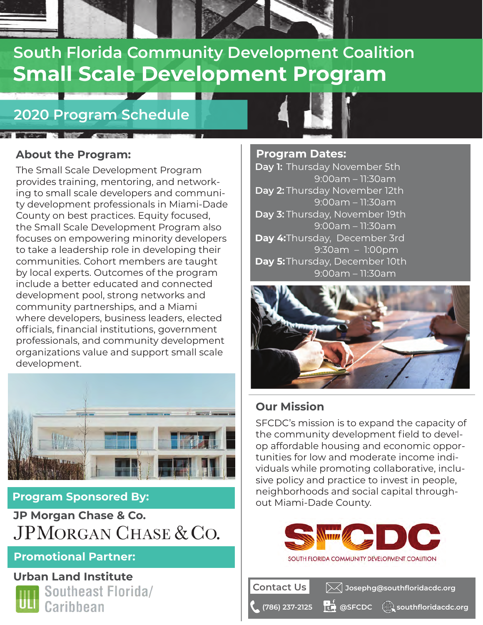# **Small Scale Development Program South Florida Community Development Coalition**

## **2020 Program Schedule**

### **About the Program:**

The Small Scale Development Program provides training, mentoring, and networking to small scale developers and community development professionals in Miami-Dade County on best practices. Equity focused, the Small Scale Development Program also focuses on empowering minority developers to take a leadership role in developing their communities. Cohort members are taught by local experts. Outcomes of the program include a better educated and connected development pool, strong networks and community partnerships, and a Miami where developers, business leaders, elected officials, financial institutions, government professionals, and community development organizations value and support small scale development.



### **Program Sponsored By:**

**JP Morgan Chase & Co. JPMORGAN CHASE & CO.** 

### **Promotional Partner:**

**Urban Land Institute**



Southeast Florida/ **Caribbean** 



#### **Program Dates: Day 1:**  Thursday November 5th **Day 2:** Thursday November 12th Day 3: Thursday, November 19th **Day 4:** Thursday, December 3rd Day 5: Thursday, December 10th 9:00am – 11:30am 9:00am – 11:30am 9:00am – 11:30am 9:30am – 1:00pm 9:00am – 11:30am



### **Our Mission**

**Contact Us**

SFCDC's mission is to expand the capacity of the community development field to develop affordable housing and economic opportunities for low and moderate income individuals while promoting collaborative, inclusive policy and practice to invest in people, neighborhoods and social capital throughout Miami-Dade County.



**@SFCDC**

**(786) 237-2125 southfloridacdc.org**

**Josephg@southfloridacdc.org**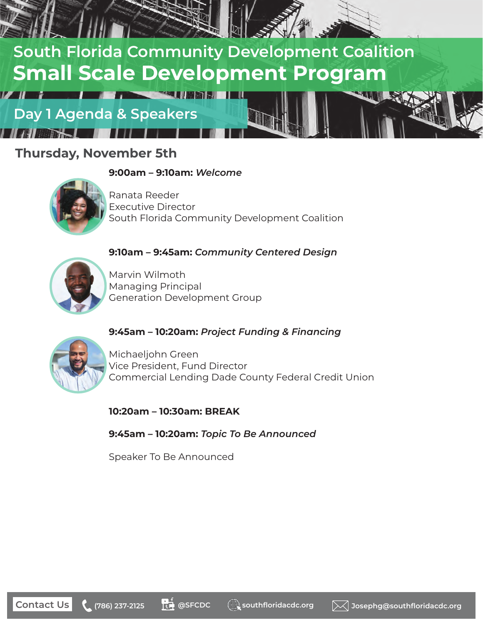

### **Thursday, November 5th**

#### **9:00am – 9:10am:** *Welcome*



Ranata Reeder Executive Director South Florida Community Development Coalition

### **9:10am – 9:45am:** *Community Centered Design*



Marvin Wilmoth Managing Principal Generation Development Group

### **9:45am – 10:20am:** *Project Funding & Financing*



Michaeljohn Green Vice President, Fund Director Commercial Lending Dade County Federal Credit Union

**10:20am – 10:30am: BREAK**

**9:45am – 10:20am:** *Topic To Be Announced*

Speaker To Be Announced

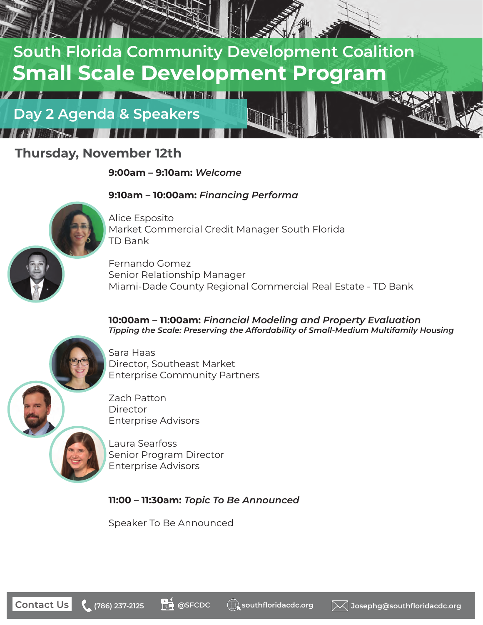

### **Thursday, November 12th**

**9:00am – 9:10am:** *Welcome*

#### **9:10am – 10:00am:** *Financing Performa*



Alice Esposito Market Commercial Credit Manager South Florida TD Bank

Fernando Gomez Senior Relationship Manager Miami-Dade County Regional Commercial Real Estate - TD Bank

**10:00am – 11:00am:** *Financial Modeling and Property Evaluation Tipping the Scale: Preserving the Affordability of Small-Medium Multifamily Housing*



Sara Haas Director, Southeast Market Enterprise Community Partners

Zach Patton Director Enterprise Advisors

Laura Searfoss Senior Program Director Enterprise Advisors

**11:00 – 11:30am:** *Topic To Be Announced*

Speaker To Be Announced

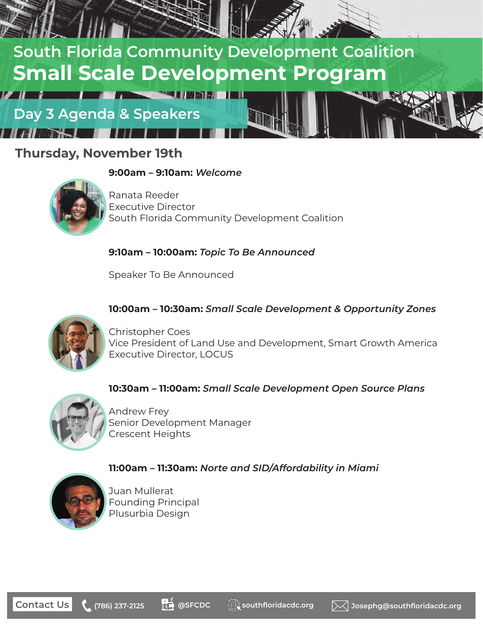

### **Thursday, November 19th**

#### **9:00am – 9:10am:** *Welcome*



Ranata Reeder Executive Director South Florida Community Development Coalition

#### **9:10am – 10:00am:** *Topic To Be Announced*

Speaker To Be Announced

#### **10:00am – 10:30am:** *Small Scale Development & Opportunity Zones*



Christopher Coes Vice President of Land Use and Development, Smart Growth America Executive Director, LOCUS

#### **10:30am – 11:00am:** *Small Scale Development Open Source Plans*



Andrew Frey Senior Development Manager Crescent Heights

### **11:00am – 11:30am:** *Norte and SID/Affordability in Miami*



Juan Mullerat Founding Principal Plusurbia Design

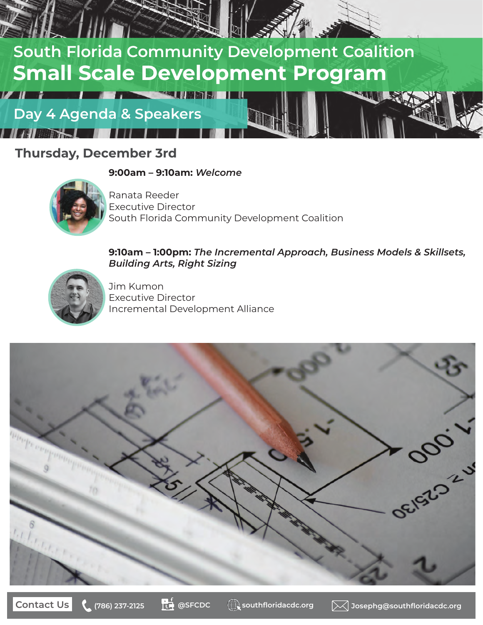

### **Thursday, December 3rd**

**9:00am – 9:10am:** *Welcome*



Ranata Reeder Executive Director South Florida Community Development Coalition

#### **9:10am – 1:00pm:** *The Incremental Approach, Business Models & Skillsets, Building Arts, Right Sizing*



Jim Kumon Executive Director Incremental Development Alliance